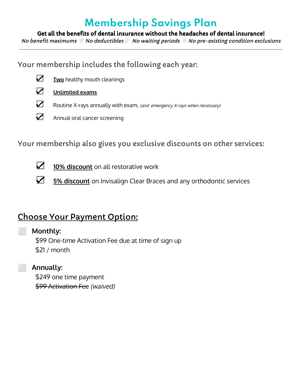# **Membership Savings Plan**

Get all the benefits of dental insurance without the headaches of dental insurance! No benefit maximums No deductibles No waiting periods No pre-existing condition exclusions

Your membership includes the following each year:

☑ **Two** healthy mouth cleanings



- ☑ Routine X-rays annually with exam, (and emergency X-rays when necessary)
- ☑ Annual oral cancer screening

Your membership also gives you exclusive discounts on other services:

- ☑ **10% discount** on all restorative work
- ☑ **5% discount** on Invisalign Clear Braces and any orthodontic services

# Choose Your Payment Option:

⬜ **Monthly:** \$99 One-time Activation Fee due at time of sign up \$21 / month

## ⬜ **Annually:**

\$249 one time payment \$99 Activation Fee (waived)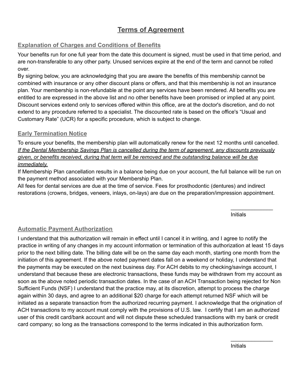### **Terms of Agreement**

#### **Explanation of Charges and Conditions of Benefits**

Your benefits run for one full year from the date this document is signed, must be used in that time period, and are non-transferable to any other party. Unused services expire at the end of the term and cannot be rolled over.

By signing below, you are acknowledging that you are aware the benefits of this membership cannot be combined with insurance or any other discount plans or offers, and that this membership is not an insurance plan. Your membership is non-refundable at the point any services have been rendered. All benefits you are entitled to are expressed in the above list and no other benefits have been promised or implied at any point. Discount services extend only to services offered within this office, are at the doctor's discretion, and do not extend to any procedure referred to a specialist. The discounted rate is based on the office's "Usual and Customary Rate" (UCR) for a specific procedure, which is subject to change.

#### **Early Termination Notice**

To ensure your benefits, the membership plan will automatically renew for the next 12 months until cancelled. *If the Dental Membership Savings Plan is cancelled during the term of agreement, any discounts previously given, or benefits received, during that term will be removed and the outstanding balance will be due immediately.*

If Membership Plan cancellation results in a balance being due on your account, the full balance will be run on the payment method associated with your Membership Plan.

All fees for dental services are due at the time of service. Fees for prosthodontic (dentures) and indirect restorations (crowns, bridges, veneers, inlays, on-lays) are due on the preparation/impression appointment.

Initials

 $\mathcal{L}_\text{max}$  , where  $\mathcal{L}_\text{max}$ 

#### **Automatic Payment Authorization**

I understand that this authorization will remain in effect until I cancel it in writing, and I agree to notify the practice in writing of any changes in my account information or termination of this authorization at least 15 days prior to the next billing date. The billing date will be on the same day each month, starting one month from the initiation of this agreement. If the above noted payment dates fall on a weekend or holiday, I understand that the payments may be executed on the next business day. For ACH debits to my checking/savings account, I understand that because these are electronic transactions, these funds may be withdrawn from my account as soon as the above noted periodic transaction dates. In the case of an ACH Transaction being rejected for Non Sufficient Funds (NSF) I understand that the practice may, at its discretion, attempt to process the charge again within 30 days, and agree to an additional \$20 charge for each attempt returned NSF which will be initiated as a separate transaction from the authorized recurring payment. I acknowledge that the origination of ACH transactions to my account must comply with the provisions of U.S. law. I certify that I am an authorized user of this credit card/bank account and will not dispute these scheduled transactions with my bank or credit card company; so long as the transactions correspond to the terms indicated in this authorization form.

Initials

 $\mathcal{L}_\text{max}$  , where  $\mathcal{L}_\text{max}$